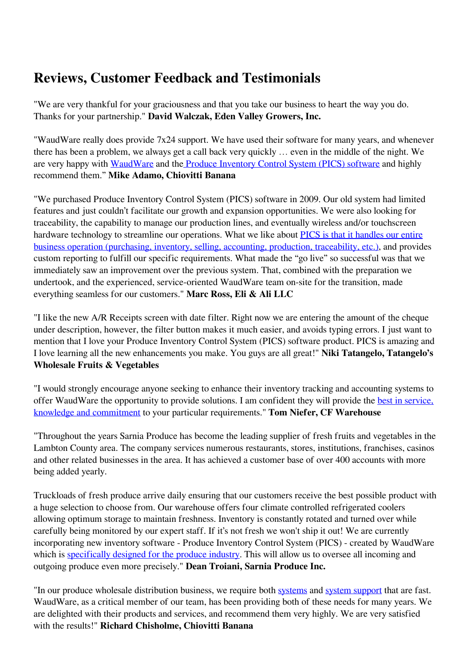## **Reviews, Customer Feedback and Testimonials**

"We are very thankful for your graciousness and that you take our business to heart the way you do. Thanks for your partnership." **David Walczak, Eden Valley Growers, Inc.**

"WaudWare really does provide 7x24 support. We have used their software for many years, and whenever there has been a problem, we always get a call back very quickly … even in the middle of the night. We are very happy with [WaudWare](https://produceinventory.com/about-waudware.html) and the [Produce Inventory Control System \(PICS\) software](https://produceinventory.com/produce-inventory-control-system.html) and highly recommend them." **Mike Adamo, Chiovitti Banana** 

"We purchased Produce Inventory Control System (PICS) software in 2009. Our old system had limited features and just couldn't facilitate our growth and expansion opportunities. We were also looking for traceability, the capability to manage our production lines, and eventually wireless and/or touchscreen hardware technology to streamline our operations. What we like about **PICS** is that it handles our entire [business operation \(purchasing, inventory, selling, accounting, production, traceability, etc.\),](https://produceinventory.com/produce-inventory-control-system.html) and provides custom reporting to fulfill our specific requirements. What made the "go live" so successful was that we immediately saw an improvement over the previous system. That, combined with the preparation we undertook, and the experienced, service-oriented WaudWare team on-site for the transition, made everything seamless for our customers." **Marc Ross, Eli & Ali LLC**

"I like the new A/R Receipts screen with date filter. Right now we are entering the amount of the cheque under description, however, the filter button makes it much easier, and avoids typing errors. I just want to mention that I love your Produce Inventory Control System (PICS) software product. PICS is amazing and I love learning all the new enhancements you make. You guys are all great!" **Niki Tatangelo, Tatangelo's Wholesale Fruits & Vegetables** 

"I would strongly encourage anyone seeking to enhance their inventory tracking and accounting systems to offer WaudWare the opportunity to provide solutions. I am confident they will provide the **best in service**, [knowledge and commitment](https://produceinventory.com/about-waudware.html) to your particular requirements." **Tom Niefer, CF Warehouse**

"Throughout the years Sarnia Produce has become the leading supplier of fresh fruits and vegetables in the Lambton County area. The company services numerous restaurants, stores, institutions, franchises, casinos and other related businesses in the area. It has achieved a customer base of over 400 accounts with more being added yearly.

Truckloads of fresh produce arrive daily ensuring that our customers receive the best possible product with a huge selection to choose from. Our warehouse offers four climate controlled refrigerated coolers allowing optimum storage to maintain freshness. Inventory is constantly rotated and turned over while carefully being monitored by our expert staff. If it's not fresh we won't ship it out! We are currently incorporating new inventory software - Produce Inventory Control System (PICS) - created by WaudWare which is [specifically designed for the produce industry.](https://produceinventory.com/produce-inventory-control-system.html) This will allow us to oversee all incoming and outgoing produce even more precisely." **Dean Troiani, Sarnia Produce Inc.**

"In our produce wholesale distribution business, we require both [systems](https://produceinventory.com/produce-inventory-control-system.html) and [system support](https://produceinventory.com/team-profiles.html) that are fast. WaudWare, as a critical member of our team, has been providing both of these needs for many years. We are delighted with their products and services, and recommend them very highly. We are very satisfied with the results!" **Richard Chisholme, Chiovitti Banana**